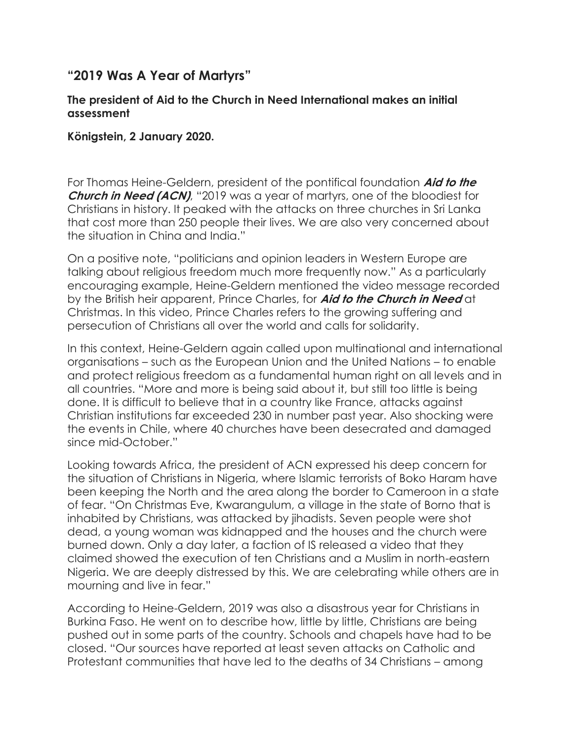## **"2019 Was A Year of Martyrs"**

## **The president of Aid to the Church in Need International makes an initial assessment**

## **Königstein, 2 January 2020.**

For Thomas Heine-Geldern, president of the pontifical foundation **Aid to the Church in Need (ACN)**, "2019 was a year of martyrs, one of the bloodiest for Christians in history. It peaked with the attacks on three churches in Sri Lanka that cost more than 250 people their lives. We are also very concerned about the situation in China and India."

On a positive note, "politicians and opinion leaders in Western Europe are talking about religious freedom much more frequently now." As a particularly encouraging example, Heine-Geldern mentioned the video message recorded by the British heir apparent, Prince Charles, for **Aid to the Church in Need** at Christmas. In this video, Prince Charles refers to the growing suffering and persecution of Christians all over the world and calls for solidarity.

In this context, Heine-Geldern again called upon multinational and international organisations – such as the European Union and the United Nations – to enable and protect religious freedom as a fundamental human right on all levels and in all countries. "More and more is being said about it, but still too little is being done. It is difficult to believe that in a country like France, attacks against Christian institutions far exceeded 230 in number past year. Also shocking were the events in Chile, where 40 churches have been desecrated and damaged since mid-October."

Looking towards Africa, the president of ACN expressed his deep concern for the situation of Christians in Nigeria, where Islamic terrorists of Boko Haram have been keeping the North and the area along the border to Cameroon in a state of fear. "On Christmas Eve, Kwarangulum, a village in the state of Borno that is inhabited by Christians, was attacked by jihadists. Seven people were shot dead, a young woman was kidnapped and the houses and the church were burned down. Only a day later, a faction of IS released a video that they claimed showed the execution of ten Christians and a Muslim in north-eastern Nigeria. We are deeply distressed by this. We are celebrating while others are in mourning and live in fear."

According to Heine-Geldern, 2019 was also a disastrous year for Christians in Burkina Faso. He went on to describe how, little by little, Christians are being pushed out in some parts of the country. Schools and chapels have had to be closed. "Our sources have reported at least seven attacks on Catholic and Protestant communities that have led to the deaths of 34 Christians – among